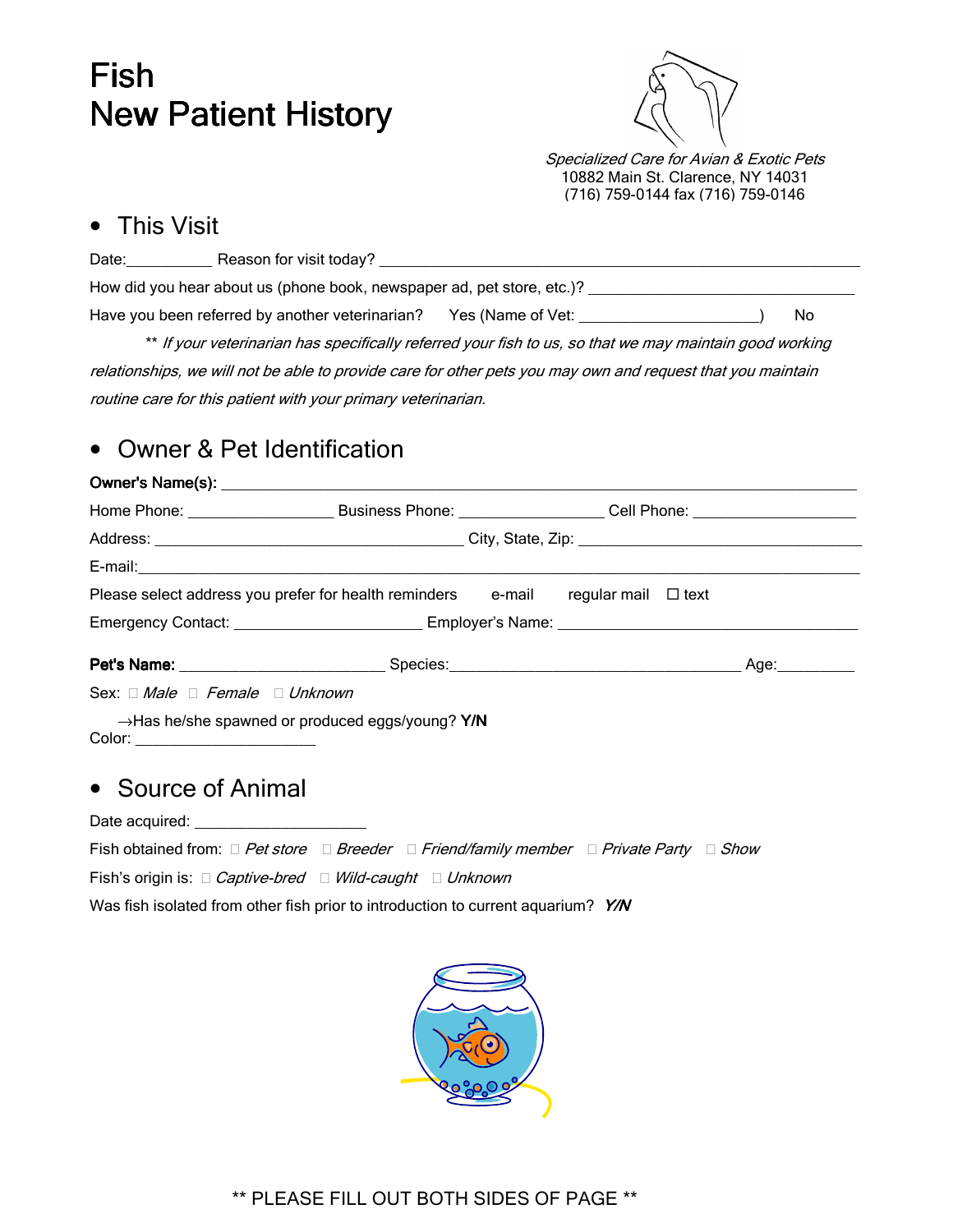# Fish **New Patient History**



Specialized Care for Avian & Exotic Pets 10882 Main St. Clarence, NY 14031 (716) 759-0144 fax (716) 759-0146

#### • This Visit

| Date:                                                                                                   | Reason for visit today?                         |                   |  |     |  |  |  |
|---------------------------------------------------------------------------------------------------------|-------------------------------------------------|-------------------|--|-----|--|--|--|
| How did you hear about us (phone book, newspaper ad, pet store, etc.)?                                  |                                                 |                   |  |     |  |  |  |
|                                                                                                         | Have you been referred by another veterinarian? | Yes (Name of Vet: |  | No. |  |  |  |
| ** If your veterinarian has specifically referred your fish to us, so that we may maintain good working |                                                 |                   |  |     |  |  |  |

relationships, we will not be able to provide care for other pets you may own and request that you maintain routine care for this patient with your primary veterinarian.

## • Owner & Pet Identification

#### Owner's Name(s): \_\_\_\_\_\_\_\_\_\_\_\_\_\_\_\_\_\_\_\_\_\_\_\_\_\_\_\_\_\_\_\_\_\_ Owner's Name(s): \_\_\_\_\_\_\_\_\_\_\_\_\_\_\_\_\_\_\_\_\_\_\_\_\_\_\_\_\_\_\_\_\_\_\_\_\_\_\_\_

| Please select address you prefer for health reminders e-mail regular mail $\Box$ text                         |                                                                               |  |  |  |  |  |  |
|---------------------------------------------------------------------------------------------------------------|-------------------------------------------------------------------------------|--|--|--|--|--|--|
|                                                                                                               |                                                                               |  |  |  |  |  |  |
|                                                                                                               |                                                                               |  |  |  |  |  |  |
| Sex: Male Female Unknown                                                                                      |                                                                               |  |  |  |  |  |  |
| $\rightarrow$ Has he/she spawned or produced eggs/young? Y/N<br>$\text{Color:}\n \overbrace{\phantom{xxxxx}}$ |                                                                               |  |  |  |  |  |  |
| • Source of Animal                                                                                            |                                                                               |  |  |  |  |  |  |
| Date acquired: ______________________                                                                         |                                                                               |  |  |  |  |  |  |
|                                                                                                               | Fish obtained from: Pet store Breeder Friend/family member Private Party Show |  |  |  |  |  |  |
|                                                                                                               | Fish's origin is: Captive-bred Wild-caught Unknown                            |  |  |  |  |  |  |
| Was fish isolated from other fish prior to introduction to current aquarium? Y/N                              |                                                                               |  |  |  |  |  |  |